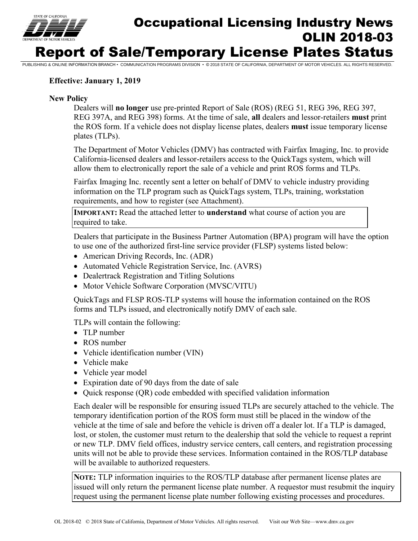

# Occupational Licensing Industry News OLIN 2018-03 Report of Sale/Temporary License Plates Status

PUBLISHING & ONLINE INFORMATION BRANCH • COMMUNICATION PROGRAMS DIVISION • © 2018 STATE OF CALIFORNIA, DEPARTMENT OF MOTOR VEHICLES. ALL RIGHTS RESERVED.

#### **Effective: January 1, 2019**

#### **New Policy**

Dealers will **no longer** use pre-printed Report of Sale (ROS) (REG 51, REG 396, REG 397, REG 397A, and REG 398) forms. At the time of sale, **all** dealers and lessor-retailers **must** print the ROS form. If a vehicle does not display license plates, dealers **must** issue temporary license plates (TLPs).

 allow them to electronically report the sale of a vehicle and print ROS forms and TLPs. The Department of Motor Vehicles (DMV) has contracted with Fairfax Imaging, Inc. to provide California-licensed dealers and lessor-retailers access to the QuickTags system, which will

Fairfax Imaging Inc. recently sent a letter on behalf of DMV to vehicle industry providing information on the TLP program such as QuickTags system, TLPs, training, workstation requirements, and how to register (see Attachment).

**IMPORTANT:** Read the attached letter to **understand** what course of action you are required to take.

Dealers that participate in the Business Partner Automation (BPA) program will have the option to use one of the authorized first-line service provider (FLSP) systems listed below:

- American Driving Records, Inc. (ADR)
- Automated Vehicle Registration Service, Inc. (AVRS)
- Dealertrack Registration and Titling Solutions
- Motor Vehicle Software Corporation (MVSC/VITU)

QuickTags and FLSP ROS-TLP systems will house the information contained on the ROS forms and TLPs issued, and electronically notify DMV of each sale.

TLPs will contain the following:

- TLP number
- ROS number
- Vehicle identification number (VIN)
- Vehicle make
- Vehicle year model
- Expiration date of 90 days from the date of sale
- Quick response (QR) code embedded with specified validation information

Each dealer will be responsible for ensuring issued TLPs are securely attached to the vehicle. The temporary identification portion of the ROS form must still be placed in the window of the vehicle at the time of sale and before the vehicle is driven off a dealer lot. If a TLP is damaged, lost, or stolen, the customer must return to the dealership that sold the vehicle to request a reprint or new TLP. DMV field offices, industry service centers, call centers, and registration processing units will not be able to provide these services. Information contained in the ROS/TLP database will be available to authorized requesters.

**NOTE:** TLP information inquiries to the ROS/TLP database after permanent license plates are issued will only return the permanent license plate number. A requestor must resubmit the inquiry request using the permanent license plate number following existing processes and procedures.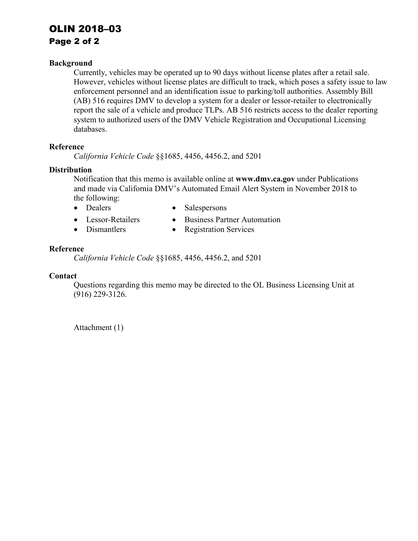## OLIN 2018–03

## Page 2 of 2

#### **Background**

 report the sale of a vehicle and produce TLPs. AB 516 restricts access to the dealer reporting Currently, vehicles may be operated up to 90 days without license plates after a retail sale. However, vehicles without license plates are difficult to track, which poses a safety issue to law enforcement personnel and an identification issue to parking/toll authorities. Assembly Bill (AB) 516 requires DMV to develop a system for a dealer or lessor-retailer to electronically system to authorized users of the DMV Vehicle Registration and Occupational Licensing databases.

#### **Reference**

*California Vehicle Code* §§1685, 4456, 4456.2, and 5201

#### **Distribution**

Notification that this memo is available online at **[www.dmv.ca.gov](http://www.dmv.ca.gov/)** under Publications and made via California DMV's Automated Email Alert System in November 2018 to the following:

- 
- Dealers Salespersons
- Lessor-Retailers Business Partner Automation
- Dismantlers Registration Services

#### **Reference**

*California Vehicle Code* §§1685, 4456, 4456.2, and 5201

#### **Contact**

Questions regarding this memo may be directed to the OL Business Licensing Unit at (916) 229-3126.

Attachment (1)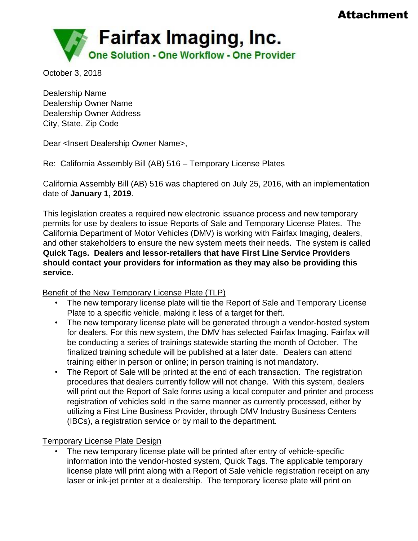## Attachment



October 3, 2018

Dealership Name Dealership Owner Name Dealership Owner Address City, State, Zip Code

Dear <Insert Dealership Owner Name>,

Re: California Assembly Bill (AB) 516 – Temporary License Plates

California Assembly Bill (AB) 516 was chaptered on July 25, 2016, with an implementation date of **January 1, 2019**.

This legislation creates a required new electronic issuance process and new temporary permits for use by dealers to issue Reports of Sale and Temporary License Plates. The California Department of Motor Vehicles (DMV) is working with Fairfax Imaging, dealers, and other stakeholders to ensure the new system meets their needs. The system is called **Quick Tags. Dealers and lessor-retailers that have First Line Service Providers should contact your providers for information as they may also be providing this service.** 

Benefit of the New Temporary License Plate (TLP)

- The new temporary license plate will tie the Report of Sale and Temporary License Plate to a specific vehicle, making it less of a target for theft.
- The new temporary license plate will be generated through a vendor-hosted system for dealers. For this new system, the DMV has selected Fairfax Imaging. Fairfax will be conducting a series of trainings statewide starting the month of October. The finalized training schedule will be published at a later date. Dealers can attend training either in person or online; in person training is not mandatory.
- The Report of Sale will be printed at the end of each transaction. The registration procedures that dealers currently follow will not change. With this system, dealers will print out the Report of Sale forms using a local computer and printer and process registration of vehicles sold in the same manner as currently processed, either by utilizing a First Line Business Provider, through DMV Industry Business Centers (IBCs), a registration service or by mail to the department.

## Temporary License Plate Design

The new temporary license plate will be printed after entry of vehicle-specific information into the vendor-hosted system, Quick Tags. The applicable temporary license plate will print along with a Report of Sale vehicle registration receipt on any laser or ink-jet printer at a dealership. The temporary license plate will print on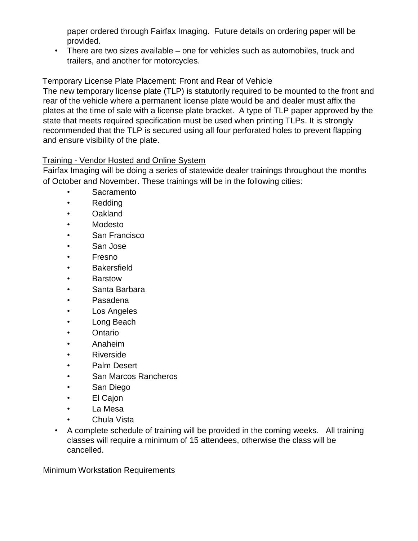paper ordered through Fairfax Imaging. Future details on ordering paper will be provided.

• There are two sizes available – one for vehicles such as automobiles, truck and trailers, and another for motorcycles.

## Temporary License Plate Placement: Front and Rear of Vehicle

The new temporary license plate (TLP) is statutorily required to be mounted to the front and rear of the vehicle where a permanent license plate would be and dealer must affix the plates at the time of sale with a license plate bracket. A type of TLP paper approved by the state that meets required specification must be used when printing TLPs. It is strongly recommended that the TLP is secured using all four perforated holes to prevent flapping and ensure visibility of the plate.

## Training - Vendor Hosted and Online System

Fairfax Imaging will be doing a series of statewide dealer trainings throughout the months of October and November. These trainings will be in the following cities:

- Sacramento
- **Redding**
- Oakland
- Modesto
- San Francisco
- San Jose
- Fresno
- **Bakersfield**
- Barstow
- Santa Barbara
- Pasadena
- Los Angeles
- Long Beach
- Ontario
- Anaheim
- Riverside
- Palm Desert
- San Marcos Rancheros
- San Diego
- El Cajon
- La Mesa
- Chula Vista
- A complete schedule of training will be provided in the coming weeks. All training classes will require a minimum of 15 attendees, otherwise the class will be cancelled.

## Minimum Workstation Requirements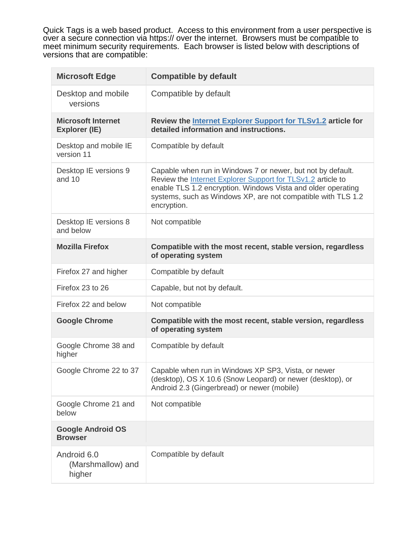Quick Tags is a web based product. Access to this environment from a user perspective is over a secure connection via https:// over the internet. Browsers must be compatible to meet minimum security requirements. Each browser is listed below with descriptions of versions that are compatible:

| <b>Microsoft Edge</b>                             | <b>Compatible by default</b>                                                                                                                                                                                                                                              |
|---------------------------------------------------|---------------------------------------------------------------------------------------------------------------------------------------------------------------------------------------------------------------------------------------------------------------------------|
| Desktop and mobile<br>versions                    | Compatible by default                                                                                                                                                                                                                                                     |
| <b>Microsoft Internet</b><br><b>Explorer (IE)</b> | Review the Internet Explorer Support for TLSv1.2 article for<br>detailed information and instructions.                                                                                                                                                                    |
| Desktop and mobile IE<br>version 11               | Compatible by default                                                                                                                                                                                                                                                     |
| Desktop IE versions 9<br>and 10                   | Capable when run in Windows 7 or newer, but not by default.<br>Review the Internet Explorer Support for TLSv1.2 article to<br>enable TLS 1.2 encryption. Windows Vista and older operating<br>systems, such as Windows XP, are not compatible with TLS 1.2<br>encryption. |
| Desktop IE versions 8<br>and below                | Not compatible                                                                                                                                                                                                                                                            |
| <b>Mozilla Firefox</b>                            | Compatible with the most recent, stable version, regardless<br>of operating system                                                                                                                                                                                        |
| Firefox 27 and higher                             | Compatible by default                                                                                                                                                                                                                                                     |
| Firefox 23 to 26                                  | Capable, but not by default.                                                                                                                                                                                                                                              |
| Firefox 22 and below                              | Not compatible                                                                                                                                                                                                                                                            |
| <b>Google Chrome</b>                              | Compatible with the most recent, stable version, regardless<br>of operating system                                                                                                                                                                                        |
| Google Chrome 38 and<br>higher                    | Compatible by default                                                                                                                                                                                                                                                     |
| Google Chrome 22 to 37                            | Capable when run in Windows XP SP3, Vista, or newer<br>(desktop), OS X 10.6 (Snow Leopard) or newer (desktop), or<br>Android 2.3 (Gingerbread) or newer (mobile)                                                                                                          |
| Google Chrome 21 and<br>below                     | Not compatible                                                                                                                                                                                                                                                            |
| <b>Google Android OS</b><br><b>Browser</b>        |                                                                                                                                                                                                                                                                           |
| Android 6.0<br>(Marshmallow) and<br>higher        | Compatible by default                                                                                                                                                                                                                                                     |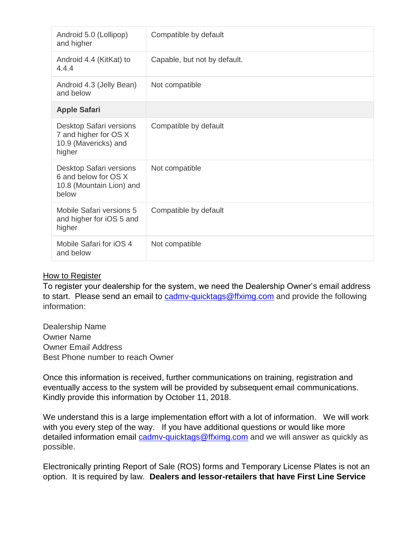| Android 5.0 (Lollipop)<br>and higher                                                 | Compatible by default        |
|--------------------------------------------------------------------------------------|------------------------------|
| Android 4.4 (KitKat) to<br>4.4.4                                                     | Capable, but not by default. |
| Android 4.3 (Jelly Bean)<br>and below                                                | Not compatible               |
| <b>Apple Safari</b>                                                                  |                              |
| Desktop Safari versions<br>7 and higher for OS X<br>10.9 (Mavericks) and<br>higher   | Compatible by default        |
| Desktop Safari versions<br>6 and below for OS X<br>10.8 (Mountain Lion) and<br>below | Not compatible               |
| Mobile Safari versions 5<br>and higher for iOS 5 and<br>higher                       | Compatible by default        |
| Mobile Safari for iOS 4<br>and below                                                 | Not compatible               |

## How to Register

To register your dealership for the system, we need the Dealership Owner's email address to start. Please send an email to cadmy-quicktags@ffximg.com and provide the following information:

Dealership Name Owner Name Owner Email Address Best Phone number to reach Owner

Once this information is received, further communications on training, registration and eventually access to the system will be provided by subsequent email communications. Kindly provide this information by October 11, 2018.

We understand this is a large implementation effort with a lot of information. We will work with you every step of the way. If you have additional questions or would like more detailed information email [cadmv-quicktags@ffximg.com](mailto:cadmv-quicktags@ffximg.com) and we will answer as quickly as possible.

Electronically printing Report of Sale (ROS) forms and Temporary License Plates is not an option. It is required by law. **Dealers and lessor-retailers that have First Line Service**